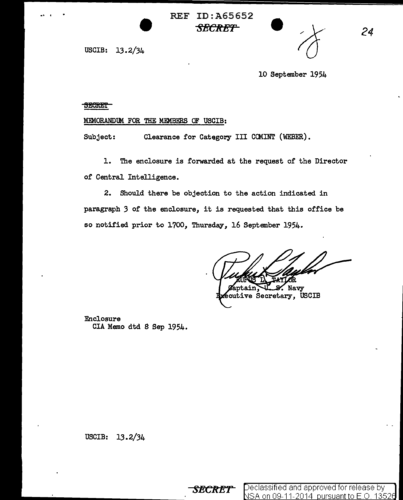$\bullet$ REF ID:A65652 *SECRET* 

USCIB: 13.2/34



*24* 

10 September 1954

## **SECRET**

 $\ddot{\bullet}$ 

## MEMORANDUM FOR THE MEMBERS OF USCIB:

Subject: Clearance for Category III COMINT (WEBER).

1. The enclosure is forwarded at the request of the Director of Central Intelligence.

2. Should there be objection to the action indicated in paragraph 3 of the enclosure, it is requested that this office be so notified prior to 1700, Thursday, 16 September 1954.

Navy

ecutive Secretary, USCIB

Enclosure CIA Memo dtd 8 Sep 1954.

USCIB: 13. 2/34